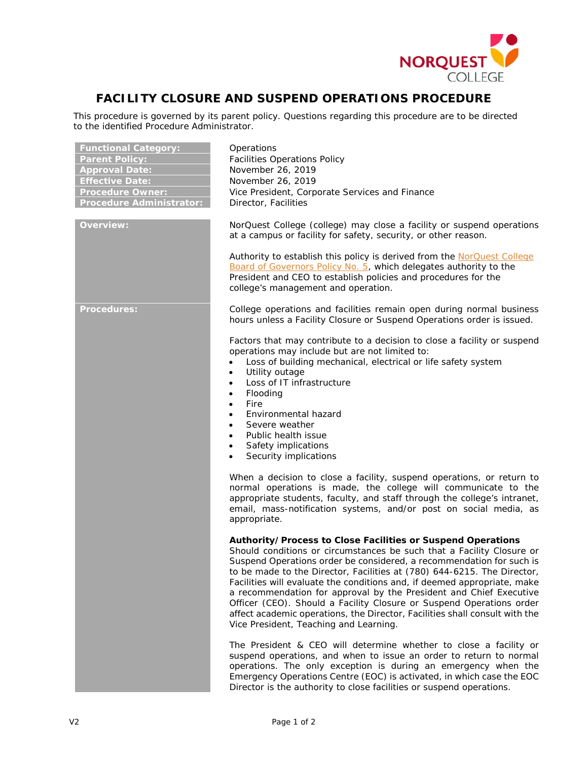

## **FACILITY CLOSURE AND SUSPEND OPERATIONS PROCEDURE**

This procedure is governed by its parent policy. Questions regarding this procedure are to be directed to the identified Procedure Administrator.

| <b>Functional Category:</b><br><b>Parent Policy:</b><br><b>Approval Date:</b><br><b>Effective Date:</b><br><b>Procedure Owner:</b><br><b>Procedure Administrator:</b> | Operations<br><b>Facilities Operations Policy</b><br>November 26, 2019<br>November 26, 2019<br>Vice President, Corporate Services and Finance<br>Director, Facilities                                                                                                                                                                                                                                                                                                                                                                                                                                                                      |
|-----------------------------------------------------------------------------------------------------------------------------------------------------------------------|--------------------------------------------------------------------------------------------------------------------------------------------------------------------------------------------------------------------------------------------------------------------------------------------------------------------------------------------------------------------------------------------------------------------------------------------------------------------------------------------------------------------------------------------------------------------------------------------------------------------------------------------|
| <b>Overview:</b>                                                                                                                                                      | NorQuest College (college) may close a facility or suspend operations<br>at a campus or facility for safety, security, or other reason.<br>Authority to establish this policy is derived from the NorQuest College<br>Board of Governors Policy No. 5, which delegates authority to the<br>President and CEO to establish policies and procedures for the<br>college's management and operation.                                                                                                                                                                                                                                           |
| <b>Procedures:</b>                                                                                                                                                    | College operations and facilities remain open during normal business<br>hours unless a Facility Closure or Suspend Operations order is issued.<br>Factors that may contribute to a decision to close a facility or suspend<br>operations may include but are not limited to:<br>Loss of building mechanical, electrical or life safety system<br>Utility outage<br>$\bullet$<br>Loss of IT infrastructure<br>$\bullet$<br>Flooding<br>$\bullet$<br>Fire<br>$\bullet$<br>Environmental hazard<br>$\bullet$<br>Severe weather<br>Public health issue<br>$\bullet$<br>Safety implications<br>$\bullet$<br>Security implications<br>$\bullet$  |
|                                                                                                                                                                       | When a decision to close a facility, suspend operations, or return to<br>normal operations is made, the college will communicate to the<br>appropriate students, faculty, and staff through the college's intranet,<br>email, mass-notification systems, and/or post on social media, as<br>appropriate.                                                                                                                                                                                                                                                                                                                                   |
|                                                                                                                                                                       | Authority/Process to Close Facilities or Suspend Operations<br>Should conditions or circumstances be such that a Facility Closure or<br>Suspend Operations order be considered, a recommendation for such is<br>to be made to the Director, Facilities at (780) 644-6215. The Director,<br>Facilities will evaluate the conditions and, if deemed appropriate, make<br>a recommendation for approval by the President and Chief Executive<br>Officer (CEO). Should a Facility Closure or Suspend Operations order<br>affect academic operations, the Director, Facilities shall consult with the<br>Vice President, Teaching and Learning. |
|                                                                                                                                                                       | The President & CEO will determine whether to close a facility or<br>suspend operations, and when to issue an order to return to normal<br>operations. The only exception is during an emergency when the<br>Emergency Operations Centre (EOC) is activated, in which case the EOC<br>Director is the authority to close facilities or suspend operations.                                                                                                                                                                                                                                                                                 |